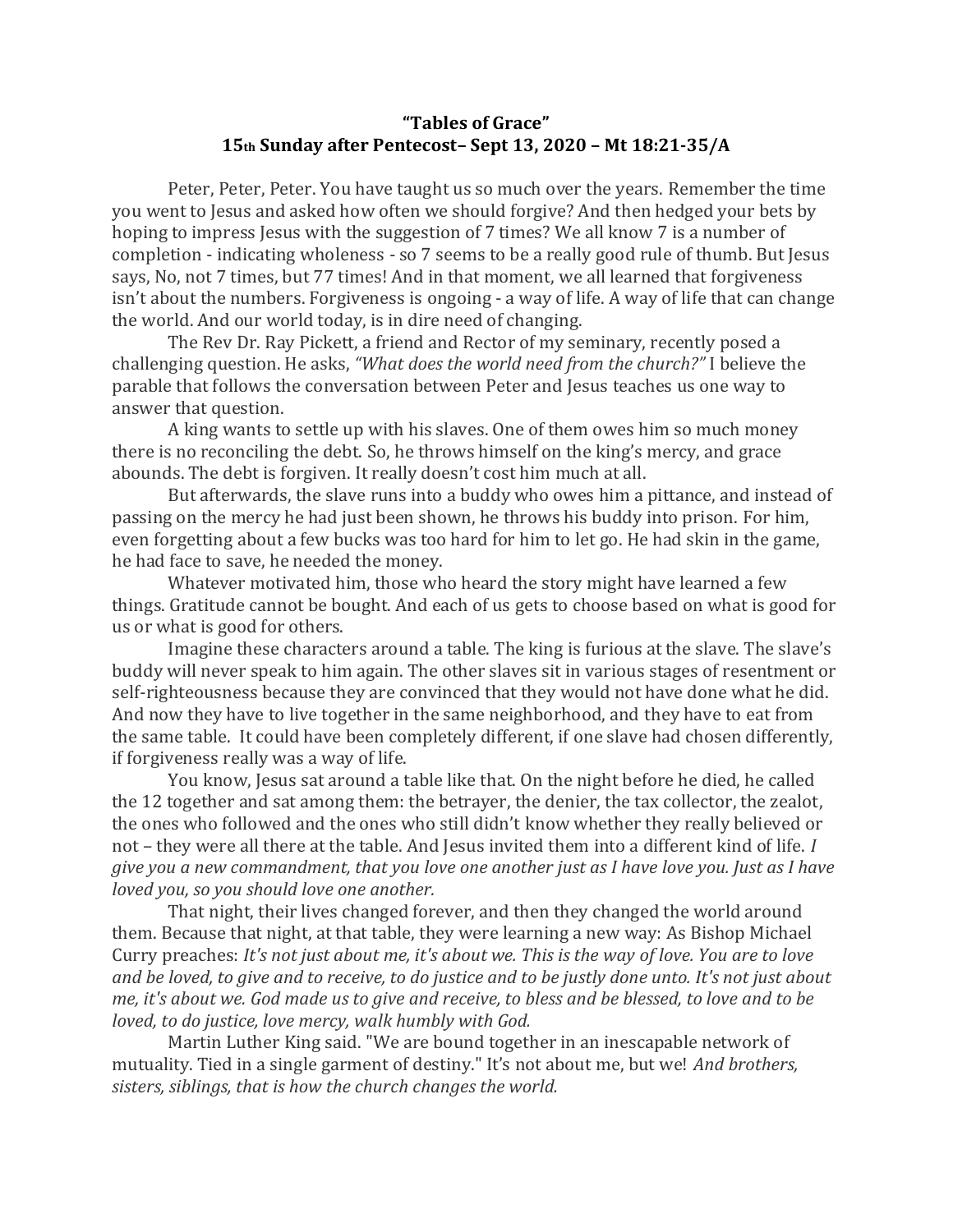## **"Tables of Grace" 15th Sunday after Pentecost– Sept 13, 2020 – Mt 18:21-35/A**

Peter, Peter, Peter. You have taught us so much over the years. Remember the time you went to Jesus and asked how often we should forgive? And then hedged your bets by hoping to impress Jesus with the suggestion of 7 times? We all know 7 is a number of completion - indicating wholeness - so 7 seems to be a really good rule of thumb. But Jesus says, No, not 7 times, but 77 times! And in that moment, we all learned that forgiveness isn't about the numbers. Forgiveness is ongoing - a way of life. A way of life that can change the world. And our world today, is in dire need of changing.

The Rev Dr. Ray Pickett, a friend and Rector of my seminary, recently posed a challenging question. He asks, *"What does the world need from the church?"* I believe the parable that follows the conversation between Peter and Jesus teaches us one way to answer that question.

A king wants to settle up with his slaves. One of them owes him so much money there is no reconciling the debt. So, he throws himself on the king's mercy, and grace abounds. The debt is forgiven. It really doesn't cost him much at all.

But afterwards, the slave runs into a buddy who owes him a pittance, and instead of passing on the mercy he had just been shown, he throws his buddy into prison. For him, even forgetting about a few bucks was too hard for him to let go. He had skin in the game, he had face to save, he needed the money.

Whatever motivated him, those who heard the story might have learned a few things. Gratitude cannot be bought. And each of us gets to choose based on what is good for us or what is good for others.

Imagine these characters around a table. The king is furious at the slave. The slave's buddy will never speak to him again. The other slaves sit in various stages of resentment or self-righteousness because they are convinced that they would not have done what he did. And now they have to live together in the same neighborhood, and they have to eat from the same table. It could have been completely different, if one slave had chosen differently, if forgiveness really was a way of life.

You know, Jesus sat around a table like that. On the night before he died, he called the 12 together and sat among them: the betrayer, the denier, the tax collector, the zealot, the ones who followed and the ones who still didn't know whether they really believed or not – they were all there at the table. And Jesus invited them into a different kind of life. *I give you a new commandment, that you love one another just as I have love you. Just as I have loved you, so you should love one another.*

That night, their lives changed forever, and then they changed the world around them. Because that night, at that table, they were learning a new way: As Bishop Michael Curry preaches: *It's not just about me, it's about we. This is the way of love. You are to love and be loved, to give and to receive, to do justice and to be justly done unto. It's not just about me, it's about we. God made us to give and receive, to bless and be blessed, to love and to be loved, to do justice, love mercy, walk humbly with God.* 

Martin Luther King said. "We are bound together in an inescapable network of mutuality. Tied in a single garment of destiny." It's not about me, but we! *And brothers, sisters, siblings, that is how the church changes the world.*